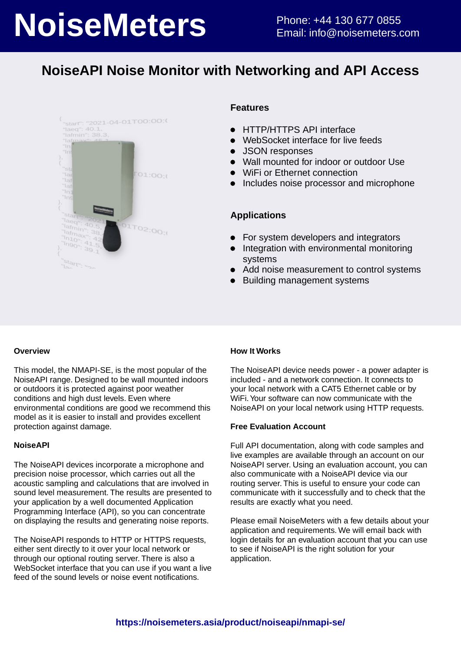# **NoiseMeters** Phone: +44 130 677 0855

## **NoiseAPI Noise Monitor with Networking and API Access**



#### **Features**

- HTTP/HTTPS API interface  $\bullet$
- WebSocket interface for live feeds  $\bullet$
- JSON responses  $\bullet$
- Wall mounted for indoor or outdoor Use
- WiFi or Ethernet connection
- Includes noise processor and microphone

#### **Applications**

- For system developers and integrators  $\bullet$
- Integration with environmental monitoring  $\bullet$ systems
- $\bullet$ Add noise measurement to control systems
- $\bullet$ Building management systems

#### **Overview**

This model, the NMAPI-SE, is the most popular of the NoiseAPI range. Designed to be wall mounted indoors or outdoors it is protected against poor weather conditions and high dust levels. Even where environmental conditions are good we recommend this model as it is easier to install and provides excellent protection against damage.

#### **NoiseAPI**

The NoiseAPI devices incorporate a microphone and precision noise processor, which carries out all the acoustic sampling and calculations that are involved in sound level measurement. The results are presented to your application by a well documented Application Programming Interface (API), so you can concentrate on displaying the results and generating noise reports.

The NoiseAPI responds to HTTP or HTTPS requests, either sent directly to it over your local network or through our optional routing server. There is also a WebSocket interface that you can use if you want a live feed of the sound levels or noise event notifications.

#### **How It Works**

The NoiseAPI device needs power - a power adapter is included - and a network connection. It connects to your local network with a CAT5 Ethernet cable or by WiFi. Your software can now communicate with the NoiseAPI on your local network using HTTP requests.

#### **Free Evaluation Account**

Full API documentation, along with code samples and live examples are available through an account on our NoiseAPI server. Using an evaluation account, you can also communicate with a NoiseAPI device via our routing server. This is useful to ensure your code can communicate with it successfully and to check that the results are exactly what you need.

Please email NoiseMeters with a few details about your application and requirements. We will email back with login details for an evaluation account that you can use to see if NoiseAPI is the right solution for your application.